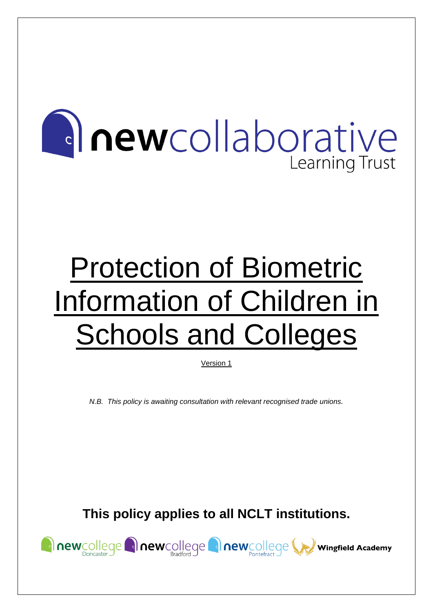# **Anewcollaborative Learning Trust**

# Protection of Biometric Information of Children in **Schools and Colleges**

Version 1

*N.B. This policy is awaiting consultation with relevant recognised trade unions.*

**This policy applies to all NCLT institutions.**

Rewcollege Rewcollege Rewcollege Rewcollege We Wingfield Academy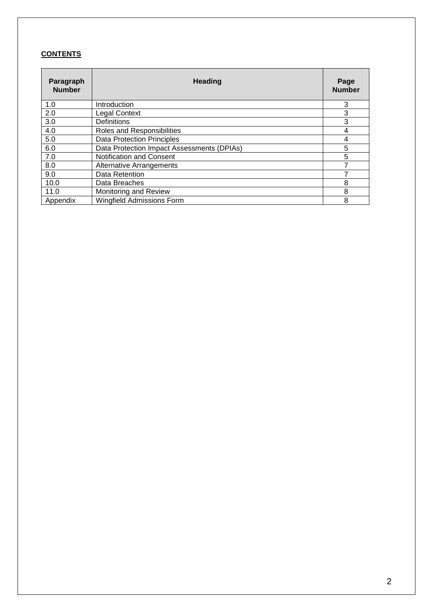# **CONTENTS**

| Paragraph<br><b>Number</b> | <b>Heading</b>                             | Page<br><b>Number</b> |
|----------------------------|--------------------------------------------|-----------------------|
| 1.0                        | Introduction                               | 3                     |
| 2.0                        | <b>Legal Context</b>                       | 3                     |
| 3.0                        | <b>Definitions</b>                         | 3                     |
| 4.0                        | Roles and Responsibilities                 |                       |
| 5.0                        | <b>Data Protection Principles</b>          | 4                     |
| 6.0                        | Data Protection Impact Assessments (DPIAs) | 5                     |
| 7.0                        | Notification and Consent                   | 5                     |
| 8.0                        | <b>Alternative Arrangements</b>            |                       |
| 9.0                        | Data Retention                             |                       |
| 10.0                       | Data Breaches                              | 8                     |
| 11.0                       | Monitoring and Review                      | 8                     |
| Appendix                   | <b>Wingfield Admissions Form</b>           | 8                     |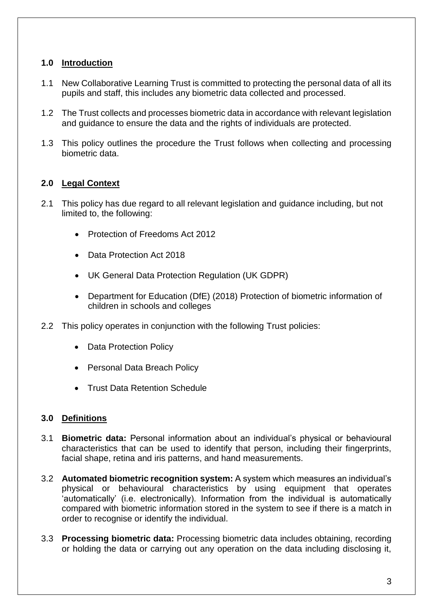# **1.0 Introduction**

- 1.1 New Collaborative Learning Trust is committed to protecting the personal data of all its pupils and staff, this includes any biometric data collected and processed.
- 1.2 The Trust collects and processes biometric data in accordance with relevant legislation and guidance to ensure the data and the rights of individuals are protected.
- 1.3 This policy outlines the procedure the Trust follows when collecting and processing biometric data.

# **2.0 Legal Context**

- 2.1 This policy has due regard to all relevant legislation and guidance including, but not limited to, the following:
	- Protection of Freedoms Act 2012
	- Data Protection Act 2018
	- UK General Data Protection Regulation (UK GDPR)
	- Department for Education (DfE) (2018) Protection of biometric information of children in schools and colleges
- 2.2 This policy operates in conjunction with the following Trust policies:
	- Data Protection Policy
	- Personal Data Breach Policy
	- Trust Data Retention Schedule

# **3.0 Definitions**

- 3.1 **Biometric data:** Personal information about an individual's physical or behavioural characteristics that can be used to identify that person, including their fingerprints, facial shape, retina and iris patterns, and hand measurements.
- 3.2 **Automated biometric recognition system:** A system which measures an individual's physical or behavioural characteristics by using equipment that operates 'automatically' (i.e. electronically). Information from the individual is automatically compared with biometric information stored in the system to see if there is a match in order to recognise or identify the individual.
- 3.3 **Processing biometric data:** Processing biometric data includes obtaining, recording or holding the data or carrying out any operation on the data including disclosing it,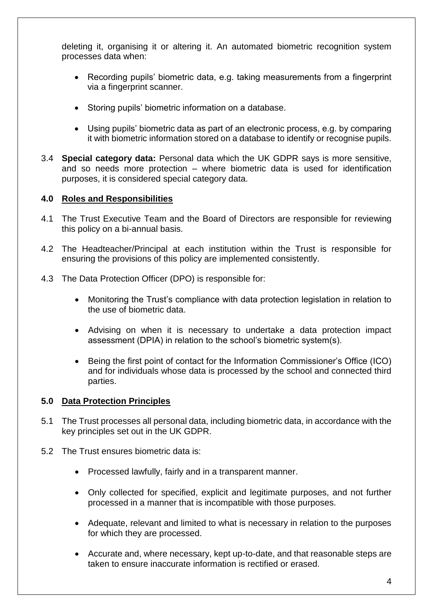deleting it, organising it or altering it. An automated biometric recognition system processes data when:

- Recording pupils' biometric data, e.g. taking measurements from a fingerprint via a fingerprint scanner.
- Storing pupils' biometric information on a database.
- Using pupils' biometric data as part of an electronic process, e.g. by comparing it with biometric information stored on a database to identify or recognise pupils.
- 3.4 **Special category data:** Personal data which the UK GDPR says is more sensitive, and so needs more protection – where biometric data is used for identification purposes, it is considered special category data.

# **4.0 Roles and Responsibilities**

- 4.1 The Trust Executive Team and the Board of Directors are responsible for reviewing this policy on a bi-annual basis.
- 4.2 The Headteacher/Principal at each institution within the Trust is responsible for ensuring the provisions of this policy are implemented consistently.
- 4.3 The Data Protection Officer (DPO) is responsible for:
	- Monitoring the Trust's compliance with data protection legislation in relation to the use of biometric data.
	- Advising on when it is necessary to undertake a data protection impact assessment (DPIA) in relation to the school's biometric system(s).
	- Being the first point of contact for the Information Commissioner's Office (ICO) and for individuals whose data is processed by the school and connected third parties.

# **5.0 Data Protection Principles**

- 5.1 The Trust processes all personal data, including biometric data, in accordance with the key principles set out in the UK GDPR.
- 5.2 The Trust ensures biometric data is:
	- Processed lawfully, fairly and in a transparent manner.
	- Only collected for specified, explicit and legitimate purposes, and not further processed in a manner that is incompatible with those purposes.
	- Adequate, relevant and limited to what is necessary in relation to the purposes for which they are processed.
	- Accurate and, where necessary, kept up-to-date, and that reasonable steps are taken to ensure inaccurate information is rectified or erased.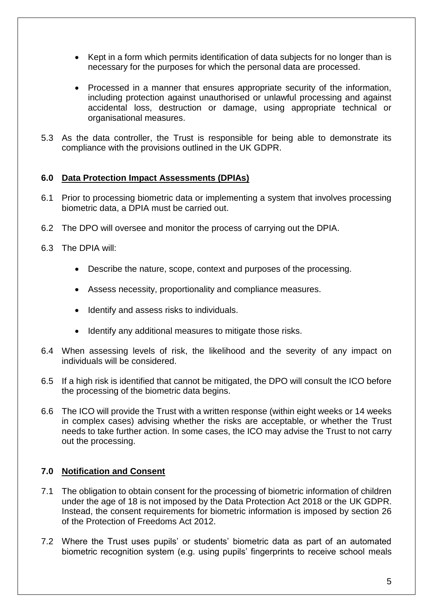- Kept in a form which permits identification of data subjects for no longer than is necessary for the purposes for which the personal data are processed.
- Processed in a manner that ensures appropriate security of the information, including protection against unauthorised or unlawful processing and against accidental loss, destruction or damage, using appropriate technical or organisational measures.
- 5.3 As the data controller, the Trust is responsible for being able to demonstrate its compliance with the provisions outlined in the UK GDPR.

# **6.0 Data Protection Impact Assessments (DPIAs)**

- 6.1 Prior to processing biometric data or implementing a system that involves processing biometric data, a DPIA must be carried out.
- 6.2 The DPO will oversee and monitor the process of carrying out the DPIA.
- 6.3 The DPIA will:
	- Describe the nature, scope, context and purposes of the processing.
	- Assess necessity, proportionality and compliance measures.
	- Identify and assess risks to individuals.
	- Identify any additional measures to mitigate those risks.
- 6.4 When assessing levels of risk, the likelihood and the severity of any impact on individuals will be considered.
- 6.5 If a high risk is identified that cannot be mitigated, the DPO will consult the ICO before the processing of the biometric data begins.
- 6.6 The ICO will provide the Trust with a written response (within eight weeks or 14 weeks in complex cases) advising whether the risks are acceptable, or whether the Trust needs to take further action. In some cases, the ICO may advise the Trust to not carry out the processing.

# **7.0 Notification and Consent**

- 7.1 The obligation to obtain consent for the processing of biometric information of children under the age of 18 is not imposed by the Data Protection Act 2018 or the UK GDPR. Instead, the consent requirements for biometric information is imposed by section 26 of the Protection of Freedoms Act 2012.
- 7.2 Where the Trust uses pupils' or students' biometric data as part of an automated biometric recognition system (e.g. using pupils' fingerprints to receive school meals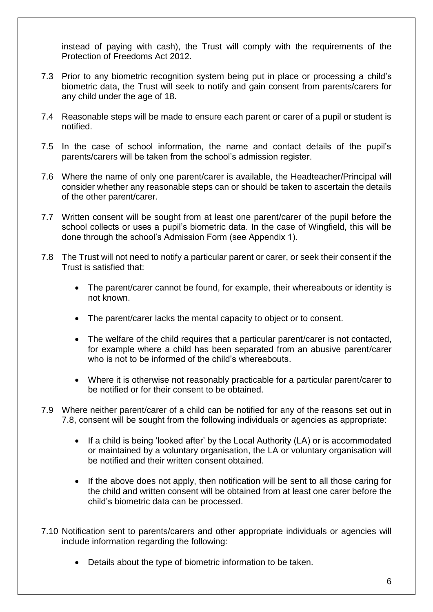instead of paying with cash), the Trust will comply with the requirements of the Protection of Freedoms Act 2012.

- 7.3 Prior to any biometric recognition system being put in place or processing a child's biometric data, the Trust will seek to notify and gain consent from parents/carers for any child under the age of 18.
- 7.4 Reasonable steps will be made to ensure each parent or carer of a pupil or student is notified.
- 7.5 In the case of school information, the name and contact details of the pupil's parents/carers will be taken from the school's admission register.
- 7.6 Where the name of only one parent/carer is available, the Headteacher/Principal will consider whether any reasonable steps can or should be taken to ascertain the details of the other parent/carer.
- 7.7 Written consent will be sought from at least one parent/carer of the pupil before the school collects or uses a pupil's biometric data. In the case of Wingfield, this will be done through the school's Admission Form (see Appendix 1).
- 7.8 The Trust will not need to notify a particular parent or carer, or seek their consent if the Trust is satisfied that:
	- The parent/carer cannot be found, for example, their whereabouts or identity is not known.
	- The parent/carer lacks the mental capacity to object or to consent.
	- The welfare of the child requires that a particular parent/carer is not contacted, for example where a child has been separated from an abusive parent/carer who is not to be informed of the child's whereabouts.
	- Where it is otherwise not reasonably practicable for a particular parent/carer to be notified or for their consent to be obtained.
- 7.9 Where neither parent/carer of a child can be notified for any of the reasons set out in 7.8, consent will be sought from the following individuals or agencies as appropriate:
	- If a child is being 'looked after' by the Local Authority (LA) or is accommodated or maintained by a voluntary organisation, the LA or voluntary organisation will be notified and their written consent obtained.
	- If the above does not apply, then notification will be sent to all those caring for the child and written consent will be obtained from at least one carer before the child's biometric data can be processed.
- 7.10 Notification sent to parents/carers and other appropriate individuals or agencies will include information regarding the following:
	- Details about the type of biometric information to be taken.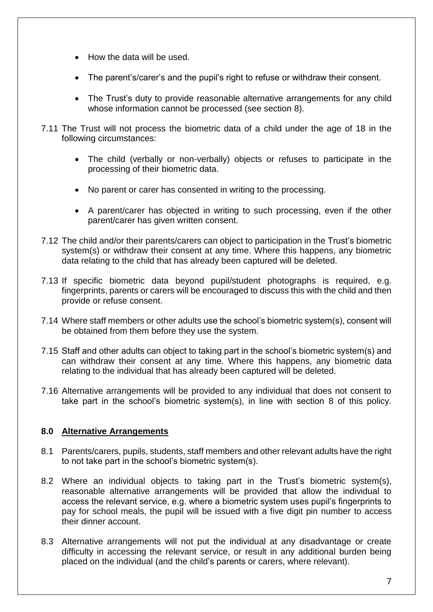- How the data will be used.
- The parent's/carer's and the pupil's right to refuse or withdraw their consent.
- The Trust's duty to provide reasonable alternative arrangements for any child whose information cannot be processed (see section 8).
- 7.11 The Trust will not process the biometric data of a child under the age of 18 in the following circumstances:
	- The child (verbally or non-verbally) objects or refuses to participate in the processing of their biometric data.
	- No parent or carer has consented in writing to the processing.
	- A parent/carer has objected in writing to such processing, even if the other parent/carer has given written consent.
- 7.12 The child and/or their parents/carers can object to participation in the Trust's biometric system(s) or withdraw their consent at any time. Where this happens, any biometric data relating to the child that has already been captured will be deleted.
- 7.13 If specific biometric data beyond pupil/student photographs is required, e.g. fingerprints, parents or carers will be encouraged to discuss this with the child and then provide or refuse consent.
- 7.14 Where staff members or other adults use the school's biometric system(s), consent will be obtained from them before they use the system.
- 7.15 Staff and other adults can object to taking part in the school's biometric system(s) and can withdraw their consent at any time. Where this happens, any biometric data relating to the individual that has already been captured will be deleted.
- 7.16 Alternative arrangements will be provided to any individual that does not consent to take part in the school's biometric system(s), in line with section 8 of this policy.

# **8.0 Alternative Arrangements**

- 8.1 Parents/carers, pupils, students, staff members and other relevant adults have the right to not take part in the school's biometric system(s).
- 8.2 Where an individual objects to taking part in the Trust's biometric system(s), reasonable alternative arrangements will be provided that allow the individual to access the relevant service, e.g. where a biometric system uses pupil's fingerprints to pay for school meals, the pupil will be issued with a five digit pin number to access their dinner account.
- 8.3 Alternative arrangements will not put the individual at any disadvantage or create difficulty in accessing the relevant service, or result in any additional burden being placed on the individual (and the child's parents or carers, where relevant).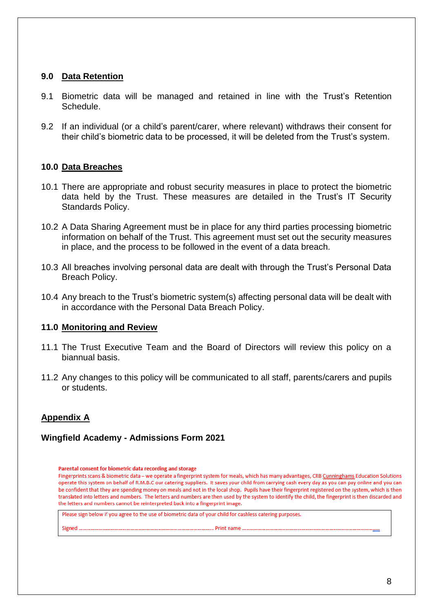#### **9.0 Data Retention**

- 9.1 Biometric data will be managed and retained in line with the Trust's Retention Schedule.
- 9.2 If an individual (or a child's parent/carer, where relevant) withdraws their consent for their child's biometric data to be processed, it will be deleted from the Trust's system.

#### **10.0 Data Breaches**

- 10.1 There are appropriate and robust security measures in place to protect the biometric data held by the Trust. These measures are detailed in the Trust's IT Security Standards Policy.
- 10.2 A Data Sharing Agreement must be in place for any third parties processing biometric information on behalf of the Trust. This agreement must set out the security measures in place, and the process to be followed in the event of a data breach.
- 10.3 All breaches involving personal data are dealt with through the Trust's Personal Data Breach Policy.
- 10.4 Any breach to the Trust's biometric system(s) affecting personal data will be dealt with in accordance with the Personal Data Breach Policy.

#### **11.0 Monitoring and Review**

- 11.1 The Trust Executive Team and the Board of Directors will review this policy on a biannual basis.
- 11.2 Any changes to this policy will be communicated to all staff, parents/carers and pupils or students.

# **Appendix A**

# **Wingfield Academy - Admissions Form 2021**

#### Parental consent for biometric data recording and storage

Fingerprints scans & biometric data – we operate a fingerprint system for meals, which has many advantages, CRB Cunninghams Education Solutions operate this system on behalf of R.M.B.C our catering suppliers. It saves your child from carrying cash every day as you can pay online and you can be confident that they are spending money on meals and not in the local shop. Pupils have their fingerprint registered on the system, which is then translated into letters and numbers. The letters and numbers are then used by the system to identify the child, the fingerprint is then discarded and the letters and numbers cannot be reinterpreted back into a fingerprint image.

Please sign below if you agree to the use of biometric data of your child for cashless catering purposes.

........................ Print name ....... Signed ...